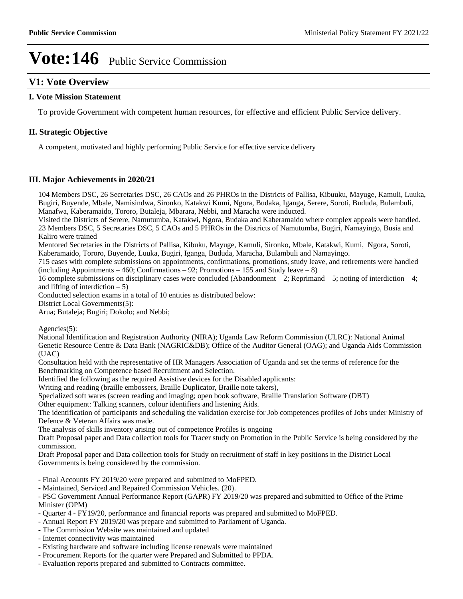## **V1: Vote Overview**

#### **I. Vote Mission Statement**

To provide Government with competent human resources, for effective and efficient Public Service delivery.

#### **II. Strategic Objective**

A competent, motivated and highly performing Public Service for effective service delivery

#### **III. Major Achievements in 2020/21**

104 Members DSC, 26 Secretaries DSC, 26 CAOs and 26 PHROs in the Districts of Pallisa, Kibuuku, Mayuge, Kamuli, Luuka, Bugiri, Buyende, Mbale, Namisindwa, Sironko, Katakwi Kumi, Ngora, Budaka, Iganga, Serere, Soroti, Bududa, Bulambuli, Manafwa, Kaberamaido, Tororo, Butaleja, Mbarara, Nebbi, and Maracha were inducted.

Visited the Districts of Serere, Namutumba, Katakwi, Ngora, Budaka and Kaberamaido where complex appeals were handled. 23 Members DSC, 5 Secretaries DSC, 5 CAOs and 5 PHROs in the Districts of Namutumba, Bugiri, Namayingo, Busia and Kaliro were trained

Mentored Secretaries in the Districts of Pallisa, Kibuku, Mayuge, Kamuli, Sironko, Mbale, Katakwi, Kumi, Ngora, Soroti, Kaberamaido, Tororo, Buyende, Luuka, Bugiri, Iganga, Bududa, Maracha, Bulambuli and Namayingo.

715 cases with complete submissions on appointments, confirmations, promotions, study leave, and retirements were handled  $(including Appointments -460; Confirmations -92; Promotions -155 and Study leave -8)$ 

16 complete submissions on disciplinary cases were concluded (Abandonment  $-2$ ; Reprimand  $-5$ ; noting of interdiction  $-4$ ; and lifting of interdiction  $-5$ )

Conducted selection exams in a total of 10 entities as distributed below:

District Local Governments(5):

Arua; Butaleja; Bugiri; Dokolo; and Nebbi;

Agencies(5):

National Identification and Registration Authority (NIRA); Uganda Law Reform Commission (ULRC): National Animal Genetic Resource Centre & Data Bank (NAGRIC&DB); Office of the Auditor General (OAG); and Uganda Aids Commission (UAC)

Consultation held with the representative of HR Managers Association of Uganda and set the terms of reference for the Benchmarking on Competence based Recruitment and Selection.

Identified the following as the required Assistive devices for the Disabled applicants:

Writing and reading (braille embossers, Braille Duplicator, Braille note takers),

Specialized soft wares (screen reading and imaging; open book software, Braille Translation Software (DBT)

Other equipment: Talking scanners, colour identifiers and listening Aids.

The identification of participants and scheduling the validation exercise for Job competences profiles of Jobs under Ministry of Defence & Veteran Affairs was made.

The analysis of skills inventory arising out of competence Profiles is ongoing

Draft Proposal paper and Data collection tools for Tracer study on Promotion in the Public Service is being considered by the commission.

Draft Proposal paper and Data collection tools for Study on recruitment of staff in key positions in the District Local Governments is being considered by the commission.

- Final Accounts FY 2019/20 were prepared and submitted to MoFPED.

- Maintained, Serviced and Repaired Commission Vehicles. (20).

- PSC Government Annual Performance Report (GAPR) FY 2019/20 was prepared and submitted to Office of the Prime Minister (OPM)

- Quarter 4 FY19/20, performance and financial reports was prepared and submitted to MoFPED.
- Annual Report FY 2019/20 was prepare and submitted to Parliament of Uganda.
- The Commission Website was maintained and updated
- Internet connectivity was maintained
- Existing hardware and software including license renewals were maintained
- Procurement Reports for the quarter were Prepared and Submitted to PPDA.
- Evaluation reports prepared and submitted to Contracts committee.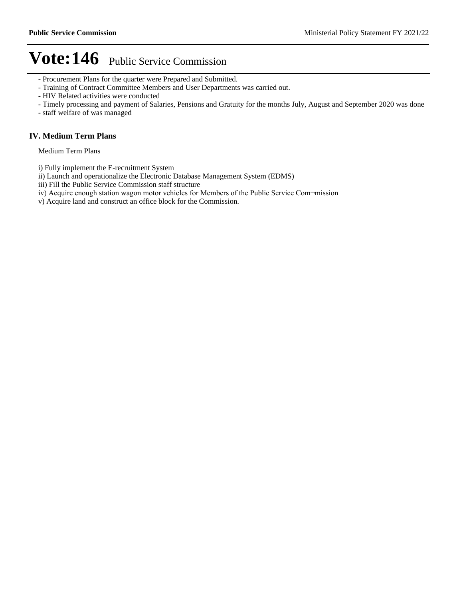- Procurement Plans for the quarter were Prepared and Submitted.
- Training of Contract Committee Members and User Departments was carried out.
- HIV Related activities were conducted
- Timely processing and payment of Salaries, Pensions and Gratuity for the months July, August and September 2020 was done
- staff welfare of was managed

#### **IV. Medium Term Plans**

Medium Term Plans

- i) Fully implement the E-recruitment System
- ii) Launch and operationalize the Electronic Database Management System (EDMS)
- iii) Fill the Public Service Commission staff structure
- iv) Acquire enough station wagon motor vehicles for Members of the Public Service Com-mission
- v) Acquire land and construct an office block for the Commission.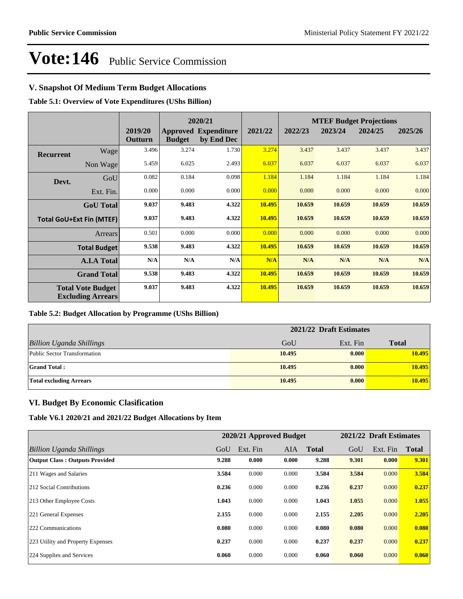## **V. Snapshot Of Medium Term Budget Allocations**

**Table 5.1: Overview of Vote Expenditures (UShs Billion)**

|                  |                                                      |                    |               | 2020/21                                   |         |         |         | <b>MTEF Budget Projections</b> |         |
|------------------|------------------------------------------------------|--------------------|---------------|-------------------------------------------|---------|---------|---------|--------------------------------|---------|
|                  |                                                      | 2019/20<br>Outturn | <b>Budget</b> | <b>Approved Expenditure</b><br>by End Dec | 2021/22 | 2022/23 | 2023/24 | 2024/25                        | 2025/26 |
| <b>Recurrent</b> | Wage                                                 | 3.496              | 3.274         | 1.730                                     | 3.274   | 3.437   | 3.437   | 3.437                          | 3.437   |
|                  | Non Wage                                             | 5.459              | 6.025         | 2.493                                     | 6.037   | 6.037   | 6.037   | 6.037                          | 6.037   |
| Devt.            | GoU                                                  | 0.082              | 0.184         | 0.098                                     | 1.184   | 1.184   | 1.184   | 1.184                          | 1.184   |
|                  | Ext. Fin.                                            | 0.000              | 0.000         | 0.000                                     | 0.000   | 0.000   | 0.000   | 0.000                          | 0.000   |
|                  | <b>GoU</b> Total                                     | 9.037              | 9.483         | 4.322                                     | 10.495  | 10.659  | 10.659  | 10.659                         | 10.659  |
|                  | <b>Total GoU+Ext Fin (MTEF)</b>                      | 9.037              | 9.483         | 4.322                                     | 10.495  | 10.659  | 10.659  | 10.659                         | 10.659  |
|                  | <b>Arrears</b>                                       | 0.501              | 0.000         | 0.000                                     | 0.000   | 0.000   | 0.000   | 0.000                          | 0.000   |
|                  | <b>Total Budget</b>                                  | 9.538              | 9.483         | 4.322                                     | 10.495  | 10.659  | 10.659  | 10.659                         | 10.659  |
|                  | <b>A.I.A Total</b>                                   | N/A                | N/A           | N/A                                       | N/A     | N/A     | N/A     | N/A                            | N/A     |
|                  | <b>Grand Total</b>                                   | 9.538              | 9.483         | 4.322                                     | 10.495  | 10.659  | 10.659  | 10.659                         | 10.659  |
|                  | <b>Total Vote Budget</b><br><b>Excluding Arrears</b> | 9.037              | 9.483         | 4.322                                     | 10.495  | 10.659  | 10.659  | 10.659                         | 10.659  |

#### **Table 5.2: Budget Allocation by Programme (UShs Billion)**

|                                 | 2021/22 Draft Estimates |          |              |  |  |
|---------------------------------|-------------------------|----------|--------------|--|--|
| <b>Billion Uganda Shillings</b> | GoU                     | Ext. Fin | <b>Total</b> |  |  |
| Public Sector Transformation    | 10.495                  | 0.000    | 10.495       |  |  |
| <b>Grand Total:</b>             | 10.495                  | 0.000    | 10.495       |  |  |
| <b>Total excluding Arrears</b>  | 10.495                  | 0.000    | 10.495       |  |  |

### **VI. Budget By Economic Clasification**

**Table V6.1 2020/21 and 2021/22 Budget Allocations by Item**

|                                       |       | 2020/21 Approved Budget |            |              |       | 2021/22 Draft Estimates |              |
|---------------------------------------|-------|-------------------------|------------|--------------|-------|-------------------------|--------------|
| Billion Uganda Shillings              | GoU   | Ext. Fin                | <b>AIA</b> | <b>Total</b> | GoU   | Ext. Fin                | <b>Total</b> |
| <b>Output Class: Outputs Provided</b> | 9.288 | 0.000                   | 0.000      | 9.288        | 9.301 | 0.000                   | 9.301        |
| 211 Wages and Salaries                | 3.584 | 0.000                   | 0.000      | 3.584        | 3.584 | 0.000                   | 3.584        |
| 212 Social Contributions              | 0.236 | 0.000                   | 0.000      | 0.236        | 0.237 | 0.000                   | 0.237        |
| 213 Other Employee Costs              | 1.043 | 0.000                   | 0.000      | 1.043        | 1.055 | 0.000                   | 1.055        |
| 221 General Expenses                  | 2.155 | 0.000                   | 0.000      | 2.155        | 2.205 | 0.000                   | 2.205        |
| 222 Communications                    | 0.080 | 0.000                   | 0.000      | 0.080        | 0.080 | 0.000                   | 0.080        |
| 223 Utility and Property Expenses     | 0.237 | 0.000                   | 0.000      | 0.237        | 0.237 | 0.000                   | 0.237        |
| 224 Supplies and Services             | 0.060 | 0.000                   | 0.000      | 0.060        | 0.060 | 0.000                   | 0.060        |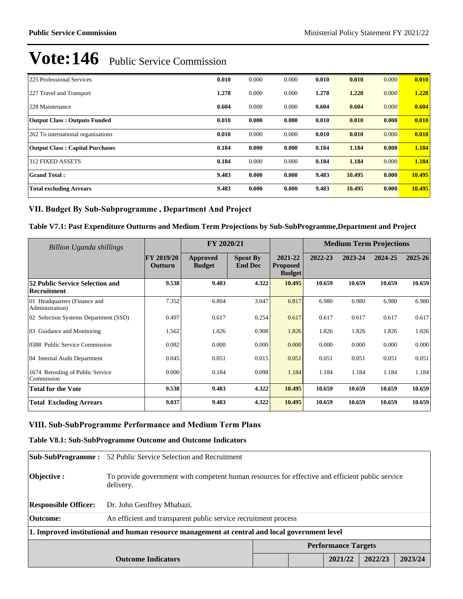| 225 Professional Services              | 0.010 | 0.000 | 0.000 | 0.010 | 0.010  | 0.000 | 0.010  |
|----------------------------------------|-------|-------|-------|-------|--------|-------|--------|
| 227 Travel and Transport               | 1.278 | 0.000 | 0.000 | 1.278 | 1.228  | 0.000 | 1.228  |
| 228 Maintenance                        | 0.604 | 0.000 | 0.000 | 0.604 | 0.604  | 0.000 | 0.604  |
| <b>Output Class: Outputs Funded</b>    | 0.010 | 0.000 | 0.000 | 0.010 | 0.010  | 0.000 | 0.010  |
| 262 To international organisations     | 0.010 | 0.000 | 0.000 | 0.010 | 0.010  | 0.000 | 0.010  |
| <b>Output Class: Capital Purchases</b> | 0.184 | 0.000 | 0.000 | 0.184 | 1.184  | 0.000 | 1.184  |
| 312 FIXED ASSETS                       | 0.184 | 0.000 | 0.000 | 0.184 | 1.184  | 0.000 | 1.184  |
| <b>Grand Total:</b>                    | 9.483 | 0.000 | 0.000 | 9.483 | 10.495 | 0.000 | 10.495 |
| <b>Total excluding Arrears</b>         | 9.483 | 0.000 | 0.000 | 9.483 | 10.495 | 0.000 | 10.495 |

## VII. Budget By Sub-Subprogramme, Department And Project

**Table V7.1: Past Expenditure Outturns and Medium Term Projections by Sub-SubProgramme,Department and Project**

| Billion Uganda shillings                              |                              | FY 2020/21                |                                   |                                             | <b>Medium Term Projections</b> |         |         |         |
|-------------------------------------------------------|------------------------------|---------------------------|-----------------------------------|---------------------------------------------|--------------------------------|---------|---------|---------|
|                                                       | <b>FY 2019/20</b><br>Outturn | Approved<br><b>Budget</b> | <b>Spent By</b><br><b>End Dec</b> | 2021-22<br><b>Proposed</b><br><b>Budget</b> | 2022-23                        | 2023-24 | 2024-25 | 2025-26 |
| <b>52 Public Service Selection and</b><br>Recruitment | 9.538                        | 9.483                     | 4.322                             | 10.495                                      | 10.659                         | 10.659  | 10.659  | 10.659  |
| 01 Headquarters (Finance and<br>Administration)       | 7.352                        | 6.804                     | 3.047                             | 6.817                                       | 6.980                          | 6.980   | 6.980   | 6.980   |
| 02 Selection Systems Department (SSD)                 | 0.497                        | 0.617                     | 0.254                             | 0.617                                       | 0.617                          | 0.617   | 0.617   | 0.617   |
| 03 Guidance and Monitoring                            | 1.562                        | 1.826                     | 0.908                             | 1.826                                       | 1.826                          | 1.826   | 1.826   | 1.826   |
| 0388 Public Service Commission                        | 0.082                        | 0.000                     | 0.000                             | 0.000                                       | 0.000                          | 0.000   | 0.000   | 0.000   |
| 04 Internal Audit Department                          | 0.045                        | 0.051                     | 0.015                             | 0.051                                       | 0.051                          | 0.051   | 0.051   | 0.051   |
| 1674 Retooling of Public Service<br>Commission        | 0.000                        | 0.184                     | 0.098                             | 1.184                                       | 1.184                          | 1.184   | 1.184   | 1.184   |
| <b>Total for the Vote</b>                             | 9.538                        | 9.483                     | 4.322                             | 10.495                                      | 10.659                         | 10.659  | 10.659  | 10.659  |
| <b>Total Excluding Arrears</b>                        | 9.037                        | 9.483                     | 4.322                             | 10.495                                      | 10.659                         | 10.659  | 10.659  | 10.659  |

## **VIII. Sub-SubProgramme Performance and Medium Term Plans**

**Table V8.1: Sub-SubProgramme Outcome and Outcome Indicators** 

|                                                                                               | <b>Sub-SubProgramme:</b> 52 Public Service Selection and Recruitment                                         |  |  |         |         |         |
|-----------------------------------------------------------------------------------------------|--------------------------------------------------------------------------------------------------------------|--|--|---------|---------|---------|
| Objective :                                                                                   | To provide government with competent human resources for effective and efficient public service<br>delivery. |  |  |         |         |         |
| <b>Responsible Officer:</b>                                                                   | Dr. John Geoffrey Mbabazi.                                                                                   |  |  |         |         |         |
| Outcome:                                                                                      | An efficient and transparent public service recruitment process                                              |  |  |         |         |         |
| 1. Improved institutional and human resource management at central and local government level |                                                                                                              |  |  |         |         |         |
|                                                                                               | <b>Performance Targets</b>                                                                                   |  |  |         |         |         |
|                                                                                               | <b>Outcome Indicators</b>                                                                                    |  |  | 2021/22 | 2022/23 | 2023/24 |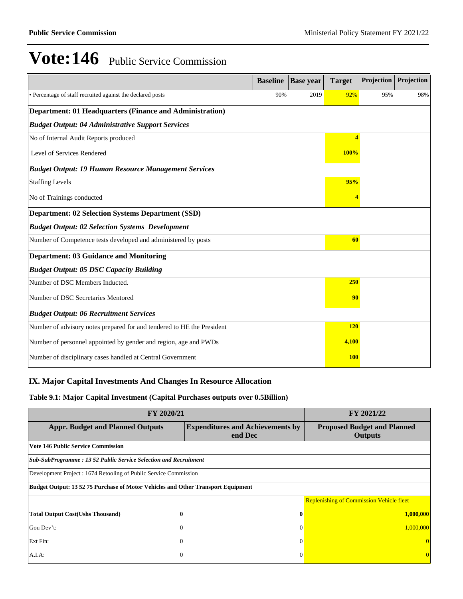|                                                                        | <b>Baseline</b> | <b>Base year</b> | <b>Target</b>            | Projection | Projection |
|------------------------------------------------------------------------|-----------------|------------------|--------------------------|------------|------------|
| • Percentage of staff recruited against the declared posts             | 90%             | 2019             | 92%                      | 95%        | 98%        |
| <b>Department: 01 Headquarters (Finance and Administration)</b>        |                 |                  |                          |            |            |
| <b>Budget Output: 04 Administrative Support Services</b>               |                 |                  |                          |            |            |
| No of Internal Audit Reports produced                                  |                 |                  | $\overline{\mathcal{A}}$ |            |            |
| Level of Services Rendered                                             |                 |                  | 100%                     |            |            |
| <b>Budget Output: 19 Human Resource Management Services</b>            |                 |                  |                          |            |            |
| <b>Staffing Levels</b>                                                 |                 |                  | 95%                      |            |            |
| No of Trainings conducted                                              |                 |                  |                          |            |            |
| <b>Department: 02 Selection Systems Department (SSD)</b>               |                 |                  |                          |            |            |
| <b>Budget Output: 02 Selection Systems Development</b>                 |                 |                  |                          |            |            |
| Number of Competence tests developed and administered by posts         |                 |                  | 60                       |            |            |
| <b>Department: 03 Guidance and Monitoring</b>                          |                 |                  |                          |            |            |
| <b>Budget Output: 05 DSC Capacity Building</b>                         |                 |                  |                          |            |            |
| Number of DSC Members Inducted.                                        |                 |                  | 250                      |            |            |
| Number of DSC Secretaries Mentored                                     |                 |                  | 90                       |            |            |
| <b>Budget Output: 06 Recruitment Services</b>                          |                 |                  |                          |            |            |
| Number of advisory notes prepared for and tendered to HE the President |                 |                  | <b>120</b>               |            |            |
| Number of personnel appointed by gender and region, age and PWDs       |                 |                  | 4,100                    |            |            |
| Number of disciplinary cases handled at Central Government             |                 |                  | <b>100</b>               |            |            |

## **IX. Major Capital Investments And Changes In Resource Allocation**

#### **Table 9.1: Major Capital Investment (Capital Purchases outputs over 0.5Billion)**

| FY 2020/21                                                                       | <b>FY 2021/22</b>                                  |                                                 |  |  |  |  |  |
|----------------------------------------------------------------------------------|----------------------------------------------------|-------------------------------------------------|--|--|--|--|--|
| <b>Appr. Budget and Planned Outputs</b>                                          | <b>Expenditures and Achievements by</b><br>end Dec |                                                 |  |  |  |  |  |
| <b>Vote 146 Public Service Commission</b>                                        |                                                    |                                                 |  |  |  |  |  |
| Sub-SubProgramme: 13 52 Public Service Selection and Recruitment                 |                                                    |                                                 |  |  |  |  |  |
| Development Project : 1674 Retooling of Public Service Commission                |                                                    |                                                 |  |  |  |  |  |
| Budget Output: 13 52 75 Purchase of Motor Vehicles and Other Transport Equipment |                                                    |                                                 |  |  |  |  |  |
|                                                                                  |                                                    | <b>Replenishing of Commission Vehicle fleet</b> |  |  |  |  |  |
| <b>Total Output Cost(Ushs Thousand)</b><br>0                                     | 0                                                  | 1,000,000                                       |  |  |  |  |  |
| Gou Dev't:<br>$\theta$                                                           | $\Omega$                                           | 1,000,000                                       |  |  |  |  |  |
| Ext Fin:<br>$\theta$                                                             | $\Omega$                                           |                                                 |  |  |  |  |  |
| $\mathbf{0}$<br>A.I.A:                                                           | $\Omega$                                           |                                                 |  |  |  |  |  |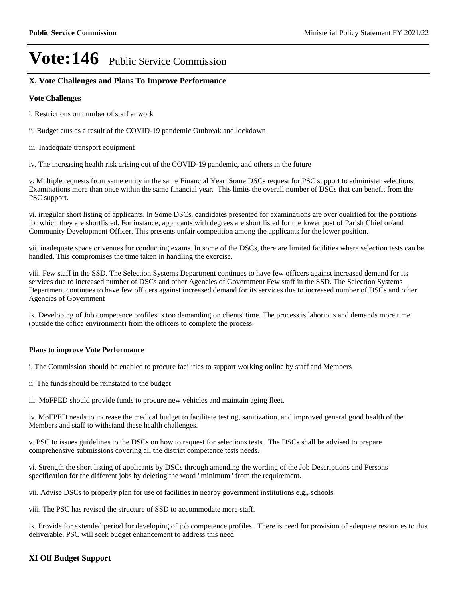## **X. Vote Challenges and Plans To Improve Performance**

#### **Vote Challenges**

i. Restrictions on number of staff at work

ii. Budget cuts as a result of the COVID-19 pandemic Outbreak and lockdown

iii. Inadequate transport equipment

iv. The increasing health risk arising out of the COVID-19 pandemic, and others in the future

v. Multiple requests from same entity in the same Financial Year. Some DSCs request for PSC support to administer selections Examinations more than once within the same financial year. This limits the overall number of DSCs that can benefit from the PSC support.

vi. irregular short listing of applicants. ln Some DSCs, candidates presented for examinations are over qualified for the positions for which they are shortlisted. For instance, applicants with degrees are short listed for the lower post of Parish Chief or/and Community Development Officer. This presents unfair competition among the applicants for the lower position.

vii. inadequate space or venues for conducting exams. In some of the DSCs, there are limited facilities where selection tests can be handled. This compromises the time taken in handling the exercise.

viii. Few staff in the SSD. The Selection Systems Department continues to have few officers against increased demand for its services due to increased number of DSCs and other Agencies of Government Few staff in the SSD. The Selection Systems Department continues to have few officers against increased demand for its services due to increased number of DSCs and other Agencies of Government

ix. Developing of Job competence profiles is too demanding on clients' time. The process is laborious and demands more time (outside the office environment) from the officers to complete the process.

#### **Plans to improve Vote Performance**

i. The Commission should be enabled to procure facilities to support working online by staff and Members

ii. The funds should be reinstated to the budget

iii. MoFPED should provide funds to procure new vehicles and maintain aging fleet.

iv. MoFPED needs to increase the medical budget to facilitate testing, sanitization, and improved general good health of the Members and staff to withstand these health challenges.

v. PSC to issues guidelines to the DSCs on how to request for selections tests. The DSCs shall be advised to prepare comprehensive submissions covering all the district competence tests needs.

vi. Strength the short listing of applicants by DSCs through amending the wording of the Job Descriptions and Persons specification for the different jobs by deleting the word "minimum" from the requirement.

vii. Advise DSCs to properly plan for use of facilities in nearby government institutions e.g., schools

viii. The PSC has revised the structure of SSD to accommodate more staff.

ix. Provide for extended period for developing of job competence profiles. There is need for provision of adequate resources to this deliverable, PSC will seek budget enhancement to address this need

#### **XI Off Budget Support**